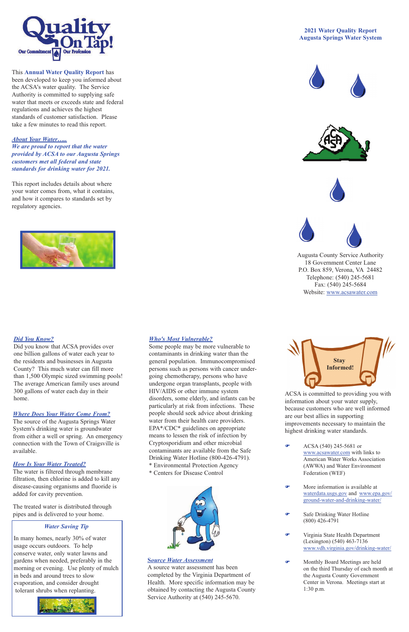## *Where Does Your Water Come From?*

The source of the Augusta Springs Water System's drinking water is groundwater from either a well or spring. An emergency connection with the Town of Craigsville is available.

### *How Is Your Water Treated?*

The water is filtered through membrane filtration, then chlorine is added to kill any disease-causing organisms and fluoride is added for cavity prevention.

The treated water is distributed through pipes and is delivered to your home.

# *Who's Most Vulnerable?*

Environmental Protection Agency \* Centers for Disease Control



 $\bullet$  ACSA (540) 245-5681 or www.acsawater.com with links to American Water Works Association (AWWA) and Water Environment Federation (WEF)

Some people may be more vulnerable to contaminants in drinking water than the general population. Immunocompromised persons such as persons with cancer undergoing chemotherapy, persons who have undergone organ transplants, people with HIV/AIDS or other immune system disorders, some elderly, and infants can be particularly at risk from infections. These people should seek advice about drinking water from their health care providers. EPA\*/CDC\* guidelines on appropriate means to lessen the risk of infection by Cryptosporidium and other microbial contaminants are available from the Safe Drinking Water Hotline (800-426-4791).

ACSA is committed to providing you with information about your water supply, because customers who are well informed are our best allies in supporting improvements necessary to maintain the highest drinking water standards.

- F More information is available at waterdata.usgs.gov and www.epa.gov/ ground-water-and-drinking-water/
- Safe Drinking Water Hotline (800) 426-4791
- F Virginia State Health Department (Lexington) (540) 463-7136 www.vdh.virginia.gov/drinking-water/
- **F** Monthly Board Meetings are held on the third Thursday of each month at the Augusta County Government Center in Verona. Meetings start at 1:30 p.m.



This **Annual Water Quality Report** has been developed to keep you informed about the ACSA's water quality. The Service Authority is committed to supplying safe water that meets or exceeds state and federal regulations and achieves the highest standards of customer satisfaction. Please take a few minutes to read this report.

# *About Your Water…..*

*We are proud to report that the water provided by ACSA to our Augusta Springs customers met all federal and state standards for drinking water for 2021.*

This report includes details about where your water comes from, what it contains, and how it compares to standards set by regulatory agencies.



## **2021 Water Quality Report Augusta Springs Water System**









Augusta County Service Authority 18 Government Center Lane P.O. Box 859, Verona, VA 24482 Telephone: (540) 245-5681 Fax: (540) 245-5684 Website: www.acsawater.com



# *Water Saving Tip*

In many homes, nearly 30% of water usage occurs outdoors. To help conserve water, only water lawns and gardens when needed, preferably in the morning or evening. Use plenty of mulch in beds and around trees to slow evaporation, and consider drought tolerant shrubs when replanting.



### **S***ource Water Assessment*

A source water assessment has been completed by the Virginia Department of Health. More specific information may be obtained by contacting the Augusta County Service Authority at (540) 245-5670.

# *Did You Know?*

Did you know that ACSA provides over one billion gallons of water each year to the residents and businesses in Augusta County? This much water can fill more than 1,500 Olympic sized swimming pools! The average American family uses around 300 gallons of water each day in their home.